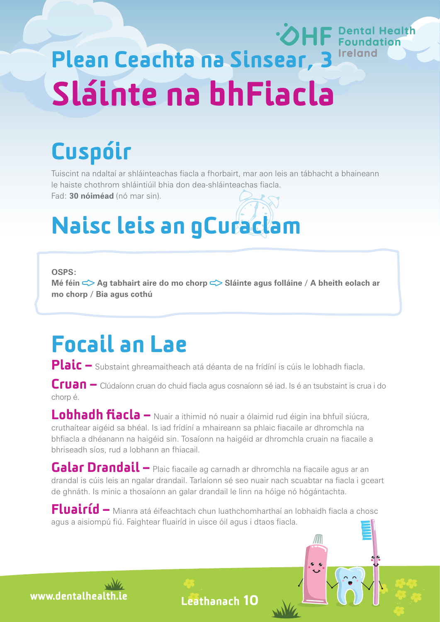# •OHF Pental Health Plean Ceachta na Sinsear, 3 Ireland Sláinte na bhFiacla

# Cuspóir

Tuiscint na ndaltaí ar shláinteachas fiacla a fhorbairt, mar aon leis an tábhacht a bhaineann le haiste chothrom shláintiúil bhia don dea-shláinteachas fiacla.

Fad: **30 nóiméad** (nó mar sin).

# Naisc leis an gCuraclam

**OSPS:**

Mé féin <sup> $\leq$ </sup> Ag tabhairt aire do mo chorp  $\leq$  Sláinte agus folláine / A bheith eolach ar **mo chorp / Bia agus cothú**

### Focail an Lae

Plaic – Substaint ghreamaitheach atá déanta de na frídíní is cúis le lobhadh fiacla.

Cruan – Clúdaíonn cruan do chuid fiacla agus cosnaíonn sé iad. Is é an tsubstaint is crua i do chorp é.

Lobhadh fiacla – Nuair a ithimid nó nuair a ólaimid rud éigin ina bhfuil siúcra, cruthaítear aigéid sa bhéal. Is iad frídíní a mhaireann sa phlaic fiacaile ar dhromchla na bhfiacla a dhéanann na haigéid sin. Tosaíonn na haigéid ar dhromchla cruain na fiacaile a bhriseadh síos, rud a lobhann an fhiacail.

Galar Drandail – Plaic fiacaile ag carnadh ar dhromchla na fiacaile agus ar an drandal is cúis leis an ngalar drandail. Tarlaíonn sé seo nuair nach scuabtar na fiacla i gceart de ghnáth. Is minic a thosaíonn an galar drandail le linn na hóige nó hógántachta.

Fluairíd – Mianra atá éifeachtach chun luathchomharthaí an lobhaidh fiacla a chosc agus a aisiompú fiú. Faightear fluairíd in uisce óil agus i dtaos fiacla.

www.dentalhealth.i

Leathanach 10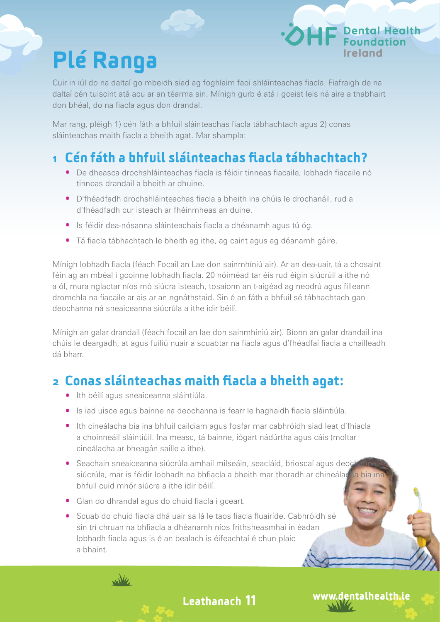# Plé Ranga

Cuir in iúl do na daltaí go mbeidh siad ag foghlaim faoi shláinteachas fiacla. Fiafraigh de na daltaí cén tuiscint atá acu ar an téarma sin. Mínigh gurb é atá i gceist leis ná aire a thabhairt don bhéal, do na fiacla agus don drandal.

Mar rang, pléigh 1) cén fáth a bhfuil sláinteachas fiacla tábhachtach agus 2) conas sláinteachas maith fiacla a bheith agat. Mar shampla:

#### 1 Cén fáth a bhfuil sláinteachas fiacla tábhachtach?

- · De dheasca drochshláinteachas fiacla is féidir tinneas fiacaile, lobhadh fiacaile nó tinneas drandail a bheith ar dhuine.
- · D'fhéadfadh drochshláinteachas fiacla a bheith ina chúis le drochanáil, rud a d'fhéadfadh cur isteach ar fhéinmheas an duine.
- · Is féidir dea-nósanna sláinteachais fiacla a dhéanamh agus tú óg.
- · Tá fiacla tábhachtach le bheith ag ithe, ag caint agus ag déanamh gáire.

Mínigh lobhadh fiacla (féach Focail an Lae don sainmhíniú air). Ar an dea-uair, tá a chosaint féin ag an mbéal i gcoinne lobhadh fiacla. 20 nóiméad tar éis rud éigin siúcrúil a ithe nó a ól, mura nglactar níos mó siúcra isteach, tosaíonn an t-aigéad ag neodrú agus filleann dromchla na fiacaile ar ais ar an ngnáthstaid. Sin é an fáth a bhfuil sé tábhachtach gan deochanna ná sneaiceanna siúcrúla a ithe idir béilí.

Mínigh an galar drandail (féach focail an lae don sainmhíniú air). Bíonn an galar drandail ina chúis le deargadh, at agus fuiliú nuair a scuabtar na fiacla agus d'fhéadfaí fiacla a chailleadh dá bharr.

#### 2 Conas sláinteachas maith fiacla a bheith agat:

- · Ith béilí agus sneaiceanna sláintiúla.
- · Is iad uisce agus bainne na deochanna is fearr le haghaidh fiacla sláintiúla.
- · Ith cineálacha bia ina bhfuil cailciam agus fosfar mar cabhróidh siad leat d'fhiacla a choinneáil sláintiúil. Ina measc, tá bainne, iógart nádúrtha agus cáis (moltar cineálacha ar bheagán saille a ithe).
- <sup>•</sup> Seachain sneaiceanna siúcrúla amhail milseáin, seacláid, brioscaí agus deoc siúcrúla, mar is féidir lobhadh na bhfiacla a bheith mar thoradh ar chineálad bhfuil cuid mhór siúcra a ithe idir béilí.

Leathanach 11

- · Glan do dhrandal agus do chuid fiacla i gceart.
- · Scuab do chuid fiacla dhá uair sa lá le taos fiacla fluairíde. Cabhróidh sé sin trí chruan na bhfiacla a dhéanamh níos frithsheasmhaí in éadan lobhadh fiacla agus is é an bealach is éifeachtaí é chun plaic a bhaint.



#### www.dentalhealth.ie

**IF** Dental Health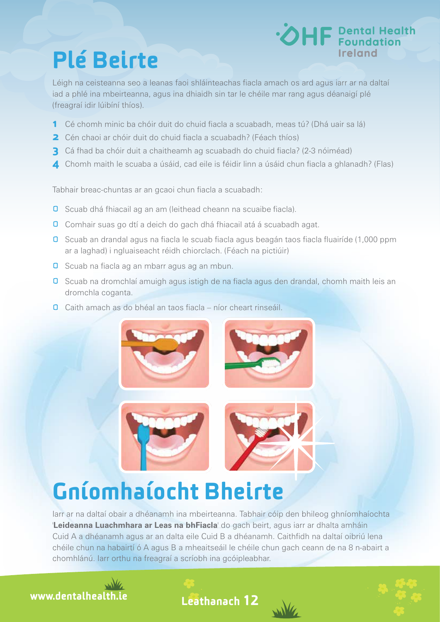## Plé Beirte



Léigh na ceisteanna seo a leanas faoi shláinteachas fiacla amach os ard agus iarr ar na daltaí iad a phlé ina mbeirteanna, agus ina dhiaidh sin tar le chéile mar rang agus déanaigí plé (freagraí idir lúibíní thíos).

- 1 Cé chomh minic ba chóir duit do chuid fiacla a scuabadh, meas tú? (Dhá uair sa lá)
- **2** Cén chaoi ar chóir duit do chuid fiacla a scuabadh? (Féach thíos)
- **3** Cá fhad ba chóir duit a chaitheamh ag scuabadh do chuid fiacla? (2-3 nóiméad)
- 4 Chomh maith le scuaba a úsáid, cad eile is féidir linn a úsáid chun fiacla a ghlanadh? (Flas)

Tabhair breac-chuntas ar an gcaoi chun fiacla a scuabadh:

- **O** Scuab dhá fhiacail ag an am (leithead cheann na scuaibe fiacla).
- **O** Comhair suas go dtí a deich do gach dhá fhiacail atá á scuabadh agat.
- Scuab an drandal agus na fiacla le scuab fiacla agus beagán taos fiacla fluairíde (1,000 ppm ar a laghad) i ngluaiseacht réidh chiorclach. (Féach na pictiúir)
- **D** Scuab na fiacla ag an mbarr agus ag an mbun.
- **0** Scuab na dromchlaí amuigh agus istigh de na fiacla agus den drandal, chomh maith leis an dromchla coganta.
- **O** Caith amach as do bhéal an taos fiacla níor cheart rinseáil.



## Gníomhaíocht Bheirte

Iarr ar na daltaí obair a dhéanamh ina mbeirteanna. Tabhair cóip den bhileog ghníomhaíochta '**Leideanna Luachmhara ar Leas na bhFiacla**' do gach beirt, agus iarr ar dhalta amháin Cuid A a dhéanamh agus ar an dalta eile Cuid B a dhéanamh. Caithfidh na daltaí oibriú lena chéile chun na habairtí ó A agus B a mheaitseáil le chéile chun gach ceann de na 8 n-abairt a chomhlánú. Iarr orthu na freagraí a scríobh ina gcóipleabhar.



Leathanach 12